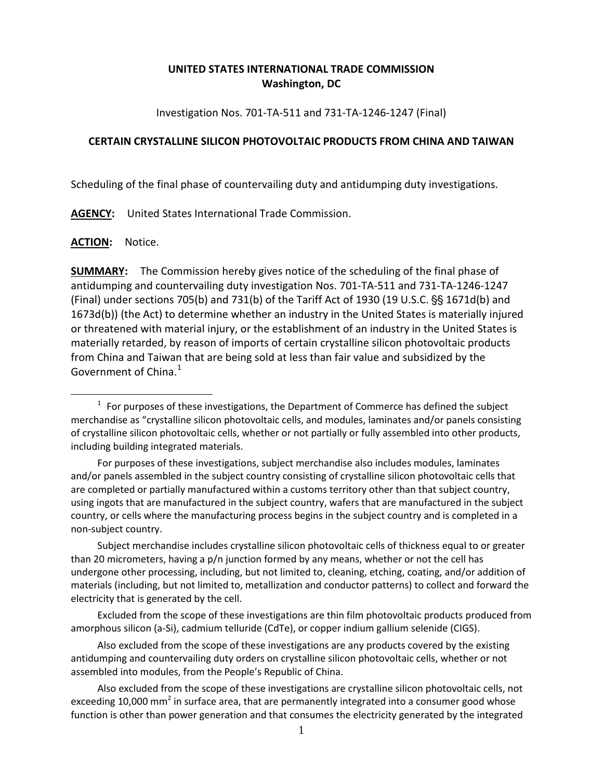# **UNITED STATES INTERNATIONAL TRADE COMMISSION Washington, DC**

Investigation Nos. 701-TA-511 and 731-TA-1246-1247 (Final)

#### **CERTAIN CRYSTALLINE SILICON PHOTOVOLTAIC PRODUCTS FROM CHINA AND TAIWAN**

Scheduling of the final phase of countervailing duty and antidumping duty investigations.

**AGENCY:** United States International Trade Commission.

### **ACTION:** Notice.

**SUMMARY:** The Commission hereby gives notice of the scheduling of the final phase of antidumping and countervailing duty investigation Nos. 701-TA-511 and 731-TA-1246-1247 (Final) under sections 705(b) and 731(b) of the Tariff Act of 1930 (19 U.S.C.  $\S$ § 1671d(b) and 1673d(b)) (the Act) to determine whether an industry in the United States is materially injured or threatened with material injury, or the establishment of an industry in the United States is materially retarded, by reason of imports of certain crystalline silicon photovoltaic products from China and Taiwan that are being sold at less than fair value and subsidized by the Government of China.<sup>[1](#page-0-0)</sup>

For purposes of these investigations, subject merchandise also includes modules, laminates and/or panels assembled in the subject country consisting of crystalline silicon photovoltaic cells that are completed or partially manufactured within a customs territory other than that subject country, using ingots that are manufactured in the subject country, wafers that are manufactured in the subject country, or cells where the manufacturing process begins in the subject country and is completed in a non-subject country.

Subject merchandise includes crystalline silicon photovoltaic cells of thickness equal to or greater than 20 micrometers, having a p/n junction formed by any means, whether or not the cell has undergone other processing, including, but not limited to, cleaning, etching, coating, and/or addition of materials (including, but not limited to, metallization and conductor patterns) to collect and forward the electricity that is generated by the cell.

Excluded from the scope of these investigations are thin film photovoltaic products produced from amorphous silicon (a-Si), cadmium telluride (CdTe), or copper indium gallium selenide (CIGS).

Also excluded from the scope of these investigations are any products covered by the existing antidumping and countervailing duty orders on crystalline silicon photovoltaic cells, whether or not assembled into modules, from the People's Republic of China.

Also excluded from the scope of these investigations are crystalline silicon photovoltaic cells, not exceeding 10,000 mm<sup>2</sup> in surface area, that are permanently integrated into a consumer good whose function is other than power generation and that consumes the electricity generated by the integrated

<span id="page-0-0"></span> $1$  For purposes of these investigations, the Department of Commerce has defined the subject merchandise as "crystalline silicon photovoltaic cells, and modules, laminates and/or panels consisting of crystalline silicon photovoltaic cells, whether or not partially or fully assembled into other products, including building integrated materials.  $\overline{a}$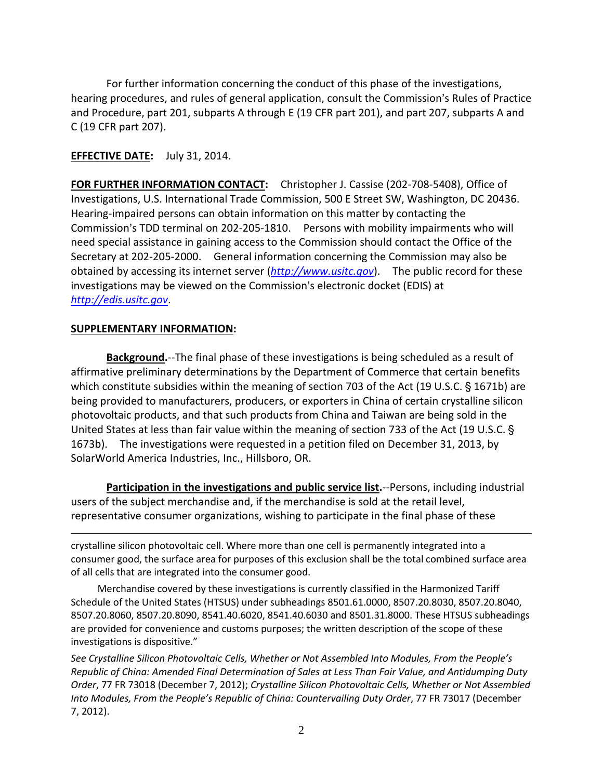For further information concerning the conduct of this phase of the investigations, hearing procedures, and rules of general application, consult the Commission's Rules of Practice and Procedure, part 201, subparts A through E (19 CFR part 201), and part 207, subparts A and C (19 CFR part 207).

# **EFFECTIVE DATE:** July 31, 2014.

**FOR FURTHER INFORMATION CONTACT:** Christopher J. Cassise (202-708-5408), Office of Investigations, U.S. International Trade Commission, 500 E Street SW, Washington, DC 20436. Hearing-impaired persons can obtain information on this matter by contacting the Commission's TDD terminal on 202-205-1810. Persons with mobility impairments who will need special assistance in gaining access to the Commission should contact the Office of the Secretary at 202-205-2000. General information concerning the Commission may also be obtained by accessing its internet server (*[http://www.usitc.gov](http://www.usitc.gov/)*). The public record for these investigations may be viewed on the Commission's electronic docket (EDIS) at *[http://edis.usitc.gov](http://edis.usitc.gov/)*.

# **SUPPLEMENTARY INFORMATION:**

 $\overline{a}$ 

**Background.**--The final phase of these investigations is being scheduled as a result of affirmative preliminary determinations by the Department of Commerce that certain benefits which constitute subsidies within the meaning of section 703 of the Act (19 U.S.C.  $\S$  1671b) are being provided to manufacturers, producers, or exporters in China of certain crystalline silicon photovoltaic products, and that such products from China and Taiwan are being sold in the United States at less than fair value within the meaning of section 733 of the Act (19 U.S.C. ' 1673b). The investigations were requested in a petition filed on December 31, 2013, by SolarWorld America Industries, Inc., Hillsboro, OR.

**Participation in the investigations and public service list.**--Persons, including industrial users of the subject merchandise and, if the merchandise is sold at the retail level, representative consumer organizations, wishing to participate in the final phase of these

crystalline silicon photovoltaic cell. Where more than one cell is permanently integrated into a consumer good, the surface area for purposes of this exclusion shall be the total combined surface area of all cells that are integrated into the consumer good.

Merchandise covered by these investigations is currently classified in the Harmonized Tariff Schedule of the United States (HTSUS) under subheadings 8501.61.0000, 8507.20.8030, 8507.20.8040, 8507.20.8060, 8507.20.8090, 8541.40.6020, 8541.40.6030 and 8501.31.8000. These HTSUS subheadings are provided for convenience and customs purposes; the written description of the scope of these investigations is dispositive."

*See Crystalline Silicon Photovoltaic Cells, Whether or Not Assembled Into Modules, From the People's Republic of China: Amended Final Determination of Sales at Less Than Fair Value, and Antidumping Duty Order*, 77 FR 73018 (December 7, 2012); *Crystalline Silicon Photovoltaic Cells, Whether or Not Assembled Into Modules, From the People's Republic of China: Countervailing Duty Order*, 77 FR 73017 (December 7, 2012).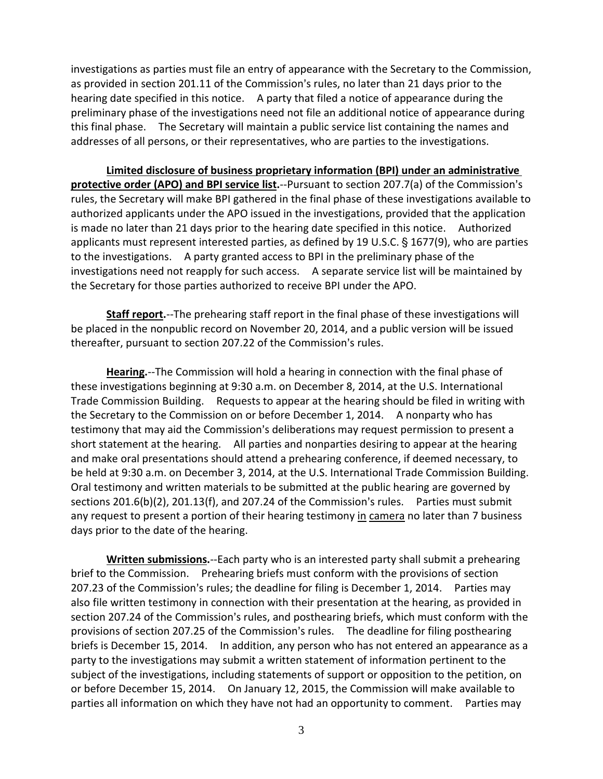investigations as parties must file an entry of appearance with the Secretary to the Commission, as provided in section 201.11 of the Commission's rules, no later than 21 days prior to the hearing date specified in this notice. A party that filed a notice of appearance during the preliminary phase of the investigations need not file an additional notice of appearance during this final phase. The Secretary will maintain a public service list containing the names and addresses of all persons, or their representatives, who are parties to the investigations.

**Limited disclosure of business proprietary information (BPI) under an administrative protective order (APO) and BPI service list.**--Pursuant to section 207.7(a) of the Commission's rules, the Secretary will make BPI gathered in the final phase of these investigations available to authorized applicants under the APO issued in the investigations, provided that the application is made no later than 21 days prior to the hearing date specified in this notice. Authorized applicants must represent interested parties, as defined by 19 U.S.C. § 1677(9), who are parties to the investigations. A party granted access to BPI in the preliminary phase of the investigations need not reapply for such access. A separate service list will be maintained by the Secretary for those parties authorized to receive BPI under the APO.

**Staff report.**--The prehearing staff report in the final phase of these investigations will be placed in the nonpublic record on November 20, 2014, and a public version will be issued thereafter, pursuant to section 207.22 of the Commission's rules.

**Hearing.**--The Commission will hold a hearing in connection with the final phase of these investigations beginning at 9:30 a.m. on December 8, 2014, at the U.S. International Trade Commission Building. Requests to appear at the hearing should be filed in writing with the Secretary to the Commission on or before December 1, 2014. A nonparty who has testimony that may aid the Commission's deliberations may request permission to present a short statement at the hearing. All parties and nonparties desiring to appear at the hearing and make oral presentations should attend a prehearing conference, if deemed necessary, to be held at 9:30 a.m. on December 3, 2014, at the U.S. International Trade Commission Building. Oral testimony and written materials to be submitted at the public hearing are governed by sections  $201.6(b)(2)$ ,  $201.13(f)$ , and  $207.24$  of the Commission's rules. Parties must submit any request to present a portion of their hearing testimony in camera no later than 7 business days prior to the date of the hearing.

**Written submissions.**--Each party who is an interested party shall submit a prehearing brief to the Commission. Prehearing briefs must conform with the provisions of section 207.23 of the Commission's rules; the deadline for filing is December 1, 2014. Parties may also file written testimony in connection with their presentation at the hearing, as provided in section 207.24 of the Commission's rules, and posthearing briefs, which must conform with the provisions of section 207.25 of the Commission's rules. The deadline for filing posthearing briefs is December 15, 2014. In addition, any person who has not entered an appearance as a party to the investigations may submit a written statement of information pertinent to the subject of the investigations, including statements of support or opposition to the petition, on or before December 15, 2014. On January 12, 2015, the Commission will make available to parties all information on which they have not had an opportunity to comment. Parties may